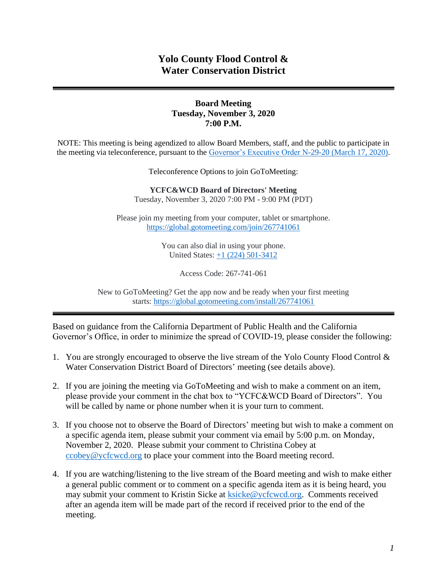# **Yolo County Flood Control & Water Conservation District**

#### **Board Meeting Tuesday, November 3, 2020 7:00 P.M.**

NOTE: This meeting is being agendized to allow Board Members, staff, and the public to participate in the meeting via teleconference, pursuant to the [Governor's Executive Order N-29-20 \(March 17, 2020\).](https://www.gov.ca.gov/wp-content/uploads/2020/03/3.17.20-N-29-20-EO.pdf)

Teleconference Options to join GoToMeeting:

**YCFC&WCD Board of Directors' Meeting**  Tuesday, November 3, 2020 7:00 PM - 9:00 PM (PDT)

Please join my meeting from your computer, tablet or smartphone. <https://global.gotomeeting.com/join/267741061>

> You can also dial in using your phone. United States: [+1 \(224\) 501-3412](tel:+12245013412,,267741061)

> > Access Code: 267-741-061

New to GoToMeeting? Get the app now and be ready when your first meeting starts: <https://global.gotomeeting.com/install/267741061>

Based on guidance from the California Department of Public Health and the California Governor's Office, in order to minimize the spread of COVID-19, please consider the following:

- 1. You are strongly encouraged to observe the live stream of the Yolo County Flood Control & Water Conservation District Board of Directors' meeting (see details above).
- 2. If you are joining the meeting via GoToMeeting and wish to make a comment on an item, please provide your comment in the chat box to "YCFC&WCD Board of Directors". You will be called by name or phone number when it is your turn to comment.
- 3. If you choose not to observe the Board of Directors' meeting but wish to make a comment on a specific agenda item, please submit your comment via email by 5:00 p.m. on Monday, November 2, 2020. Please submit your comment to Christina Cobey at [ccobey@ycfcwcd.org](mailto:ccobey@ycfcwcd.org) to place your comment into the Board meeting record.
- 4. If you are watching/listening to the live stream of the Board meeting and wish to make either a general public comment or to comment on a specific agenda item as it is being heard, you may submit your comment to Kristin Sicke at **ksicke@ycfcwcd.org**. Comments received after an agenda item will be made part of the record if received prior to the end of the meeting.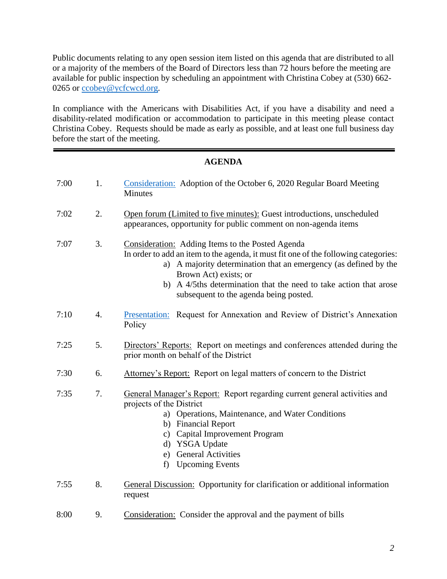Public documents relating to any open session item listed on this agenda that are distributed to all or a majority of the members of the Board of Directors less than 72 hours before the meeting are available for public inspection by scheduling an appointment with Christina Cobey at (530) 662- 0265 or [ccobey@ycfcwcd.org](mailto:ccobey@ycfcwcd.org)*.* 

In compliance with the Americans with Disabilities Act, if you have a disability and need a disability-related modification or accommodation to participate in this meeting please contact Christina Cobey. Requests should be made as early as possible, and at least one full business day before the start of the meeting.

# **AGENDA**

| 7:00 | 1.               | Consideration: Adoption of the October 6, 2020 Regular Board Meeting<br>Minutes                                                                                                                                                                                                                                                                        |
|------|------------------|--------------------------------------------------------------------------------------------------------------------------------------------------------------------------------------------------------------------------------------------------------------------------------------------------------------------------------------------------------|
| 7:02 | 2.               | Open forum (Limited to five minutes): Guest introductions, unscheduled<br>appearances, opportunity for public comment on non-agenda items                                                                                                                                                                                                              |
| 7:07 | 3.               | Consideration: Adding Items to the Posted Agenda<br>In order to add an item to the agenda, it must fit one of the following categories:<br>a) A majority determination that an emergency (as defined by the<br>Brown Act) exists; or<br>A 4/5ths determination that the need to take action that arose<br>b)<br>subsequent to the agenda being posted. |
| 7:10 | $\overline{4}$ . | Presentation: Request for Annexation and Review of District's Annexation<br>Policy                                                                                                                                                                                                                                                                     |
| 7:25 | 5.               | Directors' Reports: Report on meetings and conferences attended during the<br>prior month on behalf of the District                                                                                                                                                                                                                                    |
| 7:30 | 6.               | Attorney's Report: Report on legal matters of concern to the District                                                                                                                                                                                                                                                                                  |
| 7:35 | 7.               | General Manager's Report: Report regarding current general activities and<br>projects of the District<br>a) Operations, Maintenance, and Water Conditions<br>b) Financial Report<br><b>Capital Improvement Program</b><br>$\mathbf{c})$<br>d) YSGA Update<br><b>General Activities</b><br>e)<br><b>Upcoming Events</b><br>f)                           |
| 7:55 | 8.               | <b>General Discussion:</b> Opportunity for clarification or additional information<br>request                                                                                                                                                                                                                                                          |
| 8:00 | 9.               | Consideration: Consider the approval and the payment of bills                                                                                                                                                                                                                                                                                          |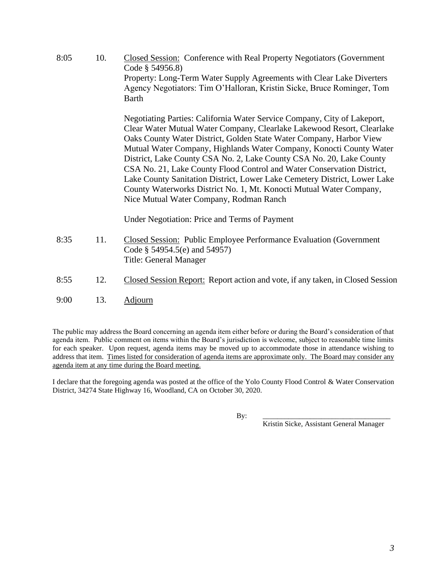8:05 10. Closed Session: Conference with Real Property Negotiators (Government Code § 54956.8) Property: Long-Term Water Supply Agreements with Clear Lake Diverters Agency Negotiators: Tim O'Halloran, Kristin Sicke, Bruce Rominger, Tom Barth

> Negotiating Parties: California Water Service Company, City of Lakeport, Clear Water Mutual Water Company, Clearlake Lakewood Resort, Clearlake Oaks County Water District, Golden State Water Company, Harbor View Mutual Water Company, Highlands Water Company, Konocti County Water District, Lake County CSA No. 2, Lake County CSA No. 20, Lake County CSA No. 21, Lake County Flood Control and Water Conservation District, Lake County Sanitation District, Lower Lake Cemetery District, Lower Lake County Waterworks District No. 1, Mt. Konocti Mutual Water Company, Nice Mutual Water Company, Rodman Ranch

Under Negotiation: Price and Terms of Payment

- 8:35 11. Closed Session: Public Employee Performance Evaluation (Government Code § 54954.5(e) and 54957) Title: General Manager
- 8:55 12. Closed Session Report: Report action and vote, if any taken, in Closed Session
- 9:00 13. Adjourn

The public may address the Board concerning an agenda item either before or during the Board's consideration of that agenda item. Public comment on items within the Board's jurisdiction is welcome, subject to reasonable time limits for each speaker. Upon request, agenda items may be moved up to accommodate those in attendance wishing to address that item. Times listed for consideration of agenda items are approximate only. The Board may consider any agenda item at any time during the Board meeting.

I declare that the foregoing agenda was posted at the office of the Yolo County Flood Control & Water Conservation District, 34274 State Highway 16, Woodland, CA on October 30, 2020.

By: \_\_\_\_\_\_\_\_\_\_\_\_\_\_\_\_\_\_\_\_\_\_\_\_\_\_\_\_\_\_\_\_\_\_\_

Kristin Sicke, Assistant General Manager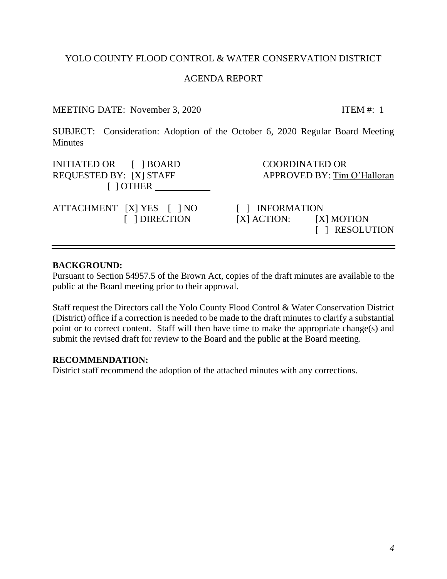## YOLO COUNTY FLOOD CONTROL & WATER CONSERVATION DISTRICT

#### AGENDA REPORT

## MEETING DATE: November 3, 2020 ITEM #: 1

<span id="page-3-0"></span>SUBJECT: Consideration: Adoption of the October 6, 2020 Regular Board Meeting **Minutes** 

INITIATED OR  $\begin{array}{ccc} \text{I} & \text{IBOARD} \\ \text{I} & \text{I} & \text{BOARD} \end{array}$ REQUESTED BY: [X] STAFF APPROVED BY: Tim O'Halloran [ ] OTHER

ATTACHMENT [X] YES [ ] NO [ ] INFORMATION

 [ ] DIRECTION [X] ACTION: [X] MOTION [ ] RESOLUTION

#### **BACKGROUND:**

Pursuant to Section 54957.5 of the Brown Act, copies of the draft minutes are available to the public at the Board meeting prior to their approval.

Staff request the Directors call the Yolo County Flood Control & Water Conservation District (District) office if a correction is needed to be made to the draft minutes to clarify a substantial point or to correct content. Staff will then have time to make the appropriate change(s) and submit the revised draft for review to the Board and the public at the Board meeting.

#### **RECOMMENDATION:**

District staff recommend the adoption of the attached minutes with any corrections.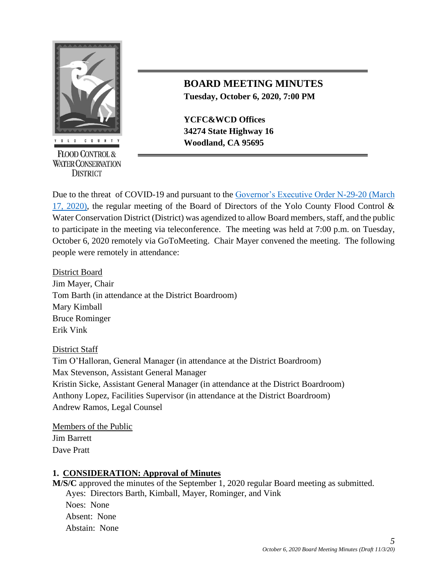

**FLOOD CONTROL & WATER CONSERVATION DISTRICT** 

# **BOARD MEETING MINUTES Tuesday, October 6, 2020, 7:00 PM**

**YCFC&WCD Offices 34274 State Highway 16 Woodland, CA 95695** 

Due to the threat of COVID-19 and pursuant to the [Governor's Executive Order N-29-20 \(March](https://www.gov.ca.gov/wp-content/uploads/2020/03/3.17.20-N-29-20-EO.pdf)  [17, 2020\),](https://www.gov.ca.gov/wp-content/uploads/2020/03/3.17.20-N-29-20-EO.pdf) the regular meeting of the Board of Directors of the Yolo County Flood Control & Water Conservation District (District) was agendized to allow Board members, staff, and the public to participate in the meeting via teleconference. The meeting was held at 7:00 p.m. on Tuesday, October 6, 2020 remotely via GoToMeeting. Chair Mayer convened the meeting. The following people were remotely in attendance:

District Board Jim Mayer, Chair Tom Barth (in attendance at the District Boardroom) Mary Kimball Bruce Rominger Erik Vink

## District Staff

Tim O'Halloran, General Manager (in attendance at the District Boardroom) Max Stevenson, Assistant General Manager Kristin Sicke, Assistant General Manager (in attendance at the District Boardroom) Anthony Lopez, Facilities Supervisor (in attendance at the District Boardroom) Andrew Ramos, Legal Counsel

Members of the Public Jim Barrett Dave Pratt

## **1. CONSIDERATION: Approval of Minutes**

**M/S/C** approved the minutes of the September 1, 2020 regular Board meeting as submitted. Ayes: Directors Barth, Kimball, Mayer, Rominger, and Vink

Noes: None Absent: None Abstain: None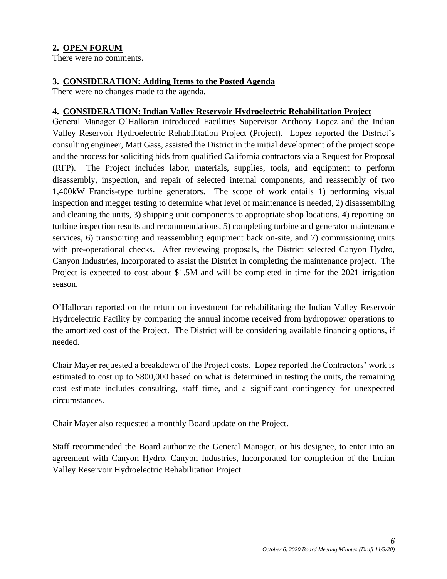# **2. OPEN FORUM**

There were no comments.

#### **3. CONSIDERATION: Adding Items to the Posted Agenda**

There were no changes made to the agenda.

#### **4. CONSIDERATION: Indian Valley Reservoir Hydroelectric Rehabilitation Project**

General Manager O'Halloran introduced Facilities Supervisor Anthony Lopez and the Indian Valley Reservoir Hydroelectric Rehabilitation Project (Project). Lopez reported the District's consulting engineer, Matt Gass, assisted the District in the initial development of the project scope and the process for soliciting bids from qualified California contractors via a Request for Proposal (RFP). The Project includes labor, materials, supplies, tools, and equipment to perform disassembly, inspection, and repair of selected internal components, and reassembly of two 1,400kW Francis-type turbine generators. The scope of work entails 1) performing visual inspection and megger testing to determine what level of maintenance is needed, 2) disassembling and cleaning the units, 3) shipping unit components to appropriate shop locations, 4) reporting on turbine inspection results and recommendations, 5) completing turbine and generator maintenance services, 6) transporting and reassembling equipment back on-site, and 7) commissioning units with pre-operational checks. After reviewing proposals, the District selected Canyon Hydro, Canyon Industries, Incorporated to assist the District in completing the maintenance project. The Project is expected to cost about \$1.5M and will be completed in time for the 2021 irrigation season.

O'Halloran reported on the return on investment for rehabilitating the Indian Valley Reservoir Hydroelectric Facility by comparing the annual income received from hydropower operations to the amortized cost of the Project. The District will be considering available financing options, if needed.

Chair Mayer requested a breakdown of the Project costs. Lopez reported the Contractors' work is estimated to cost up to \$800,000 based on what is determined in testing the units, the remaining cost estimate includes consulting, staff time, and a significant contingency for unexpected circumstances.

Chair Mayer also requested a monthly Board update on the Project.

Staff recommended the Board authorize the General Manager, or his designee, to enter into an agreement with Canyon Hydro, Canyon Industries, Incorporated for completion of the Indian Valley Reservoir Hydroelectric Rehabilitation Project.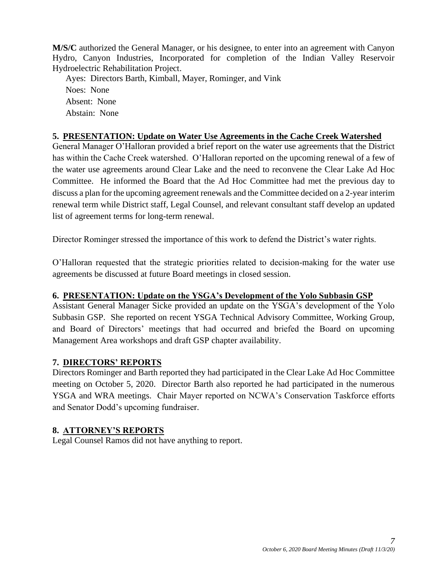**M/S/C** authorized the General Manager, or his designee, to enter into an agreement with Canyon Hydro, Canyon Industries, Incorporated for completion of the Indian Valley Reservoir Hydroelectric Rehabilitation Project.

Ayes: Directors Barth, Kimball, Mayer, Rominger, and Vink Noes: None Absent: None Abstain: None

## **5. PRESENTATION: Update on Water Use Agreements in the Cache Creek Watershed**

General Manager O'Halloran provided a brief report on the water use agreements that the District has within the Cache Creek watershed. O'Halloran reported on the upcoming renewal of a few of the water use agreements around Clear Lake and the need to reconvene the Clear Lake Ad Hoc Committee. He informed the Board that the Ad Hoc Committee had met the previous day to discuss a plan for the upcoming agreement renewals and the Committee decided on a 2-year interim renewal term while District staff, Legal Counsel, and relevant consultant staff develop an updated list of agreement terms for long-term renewal.

Director Rominger stressed the importance of this work to defend the District's water rights.

O'Halloran requested that the strategic priorities related to decision-making for the water use agreements be discussed at future Board meetings in closed session.

## **6. PRESENTATION: Update on the YSGA's Development of the Yolo Subbasin GSP**

Assistant General Manager Sicke provided an update on the YSGA's development of the Yolo Subbasin GSP. She reported on recent YSGA Technical Advisory Committee, Working Group, and Board of Directors' meetings that had occurred and briefed the Board on upcoming Management Area workshops and draft GSP chapter availability.

## **7. DIRECTORS' REPORTS**

Directors Rominger and Barth reported they had participated in the Clear Lake Ad Hoc Committee meeting on October 5, 2020. Director Barth also reported he had participated in the numerous YSGA and WRA meetings. Chair Mayer reported on NCWA's Conservation Taskforce efforts and Senator Dodd's upcoming fundraiser.

## **8. ATTORNEY'S REPORTS**

Legal Counsel Ramos did not have anything to report.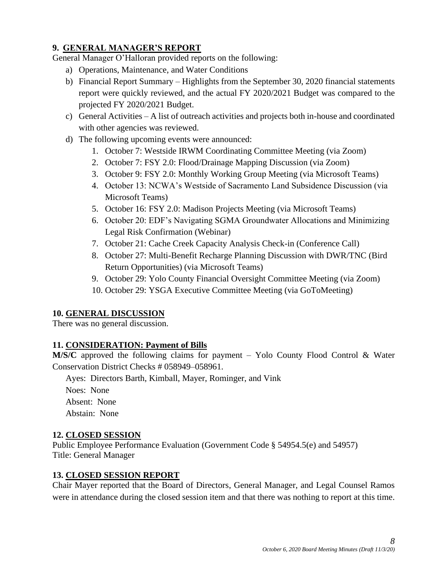# **9. GENERAL MANAGER'S REPORT**

General Manager O'Halloran provided reports on the following:

- a) Operations, Maintenance, and Water Conditions
- b) Financial Report Summary Highlights from the September 30, 2020 financial statements report were quickly reviewed, and the actual FY 2020/2021 Budget was compared to the projected FY 2020/2021 Budget.
- c) General Activities A list of outreach activities and projects both in-house and coordinated with other agencies was reviewed.
- d) The following upcoming events were announced:
	- 1. October 7: Westside IRWM Coordinating Committee Meeting (via Zoom)
	- 2. October 7: FSY 2.0: Flood/Drainage Mapping Discussion (via Zoom)
	- 3. October 9: FSY 2.0: Monthly Working Group Meeting (via Microsoft Teams)
	- 4. October 13: NCWA's Westside of Sacramento Land Subsidence Discussion (via Microsoft Teams)
	- 5. October 16: FSY 2.0: Madison Projects Meeting (via Microsoft Teams)
	- 6. October 20: EDF's Navigating SGMA Groundwater Allocations and Minimizing Legal Risk Confirmation (Webinar)
	- 7. October 21: Cache Creek Capacity Analysis Check-in (Conference Call)
	- 8. October 27: Multi-Benefit Recharge Planning Discussion with DWR/TNC (Bird Return Opportunities) (via Microsoft Teams)
	- 9. October 29: Yolo County Financial Oversight Committee Meeting (via Zoom)
	- 10. October 29: YSGA Executive Committee Meeting (via GoToMeeting)

# **10. GENERAL DISCUSSION**

There was no general discussion.

## **11. CONSIDERATION: Payment of Bills**

**M/S/C** approved the following claims for payment – Yolo County Flood Control & Water Conservation District Checks # 058949–058961.

Ayes: Directors Barth, Kimball, Mayer, Rominger, and Vink

Noes: None Absent: None Abstain: None

## **12. CLOSED SESSION**

Public Employee Performance Evaluation (Government Code § 54954.5(e) and 54957) Title: General Manager

# **13. CLOSED SESSION REPORT**

Chair Mayer reported that the Board of Directors, General Manager, and Legal Counsel Ramos were in attendance during the closed session item and that there was nothing to report at this time.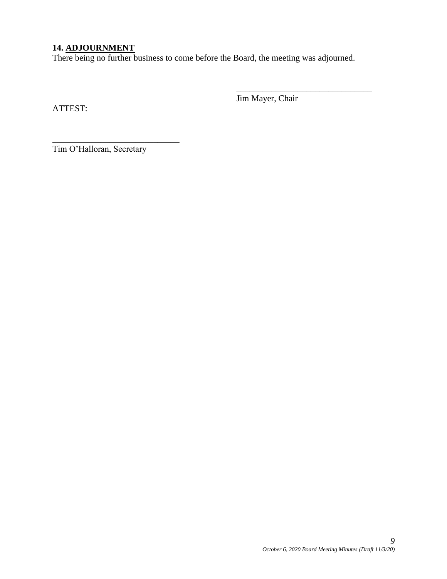## **14. ADJOURNMENT**

There being no further business to come before the Board, the meeting was adjourned.

ATTEST:

Jim Mayer, Chair

\_\_\_\_\_\_\_\_\_\_\_\_\_\_\_\_\_\_\_\_\_\_\_\_\_\_\_\_\_\_\_

\_\_\_\_\_\_\_\_\_\_\_\_\_\_\_\_\_\_\_\_\_\_\_\_\_\_\_\_\_ Tim O'Halloran, Secretary